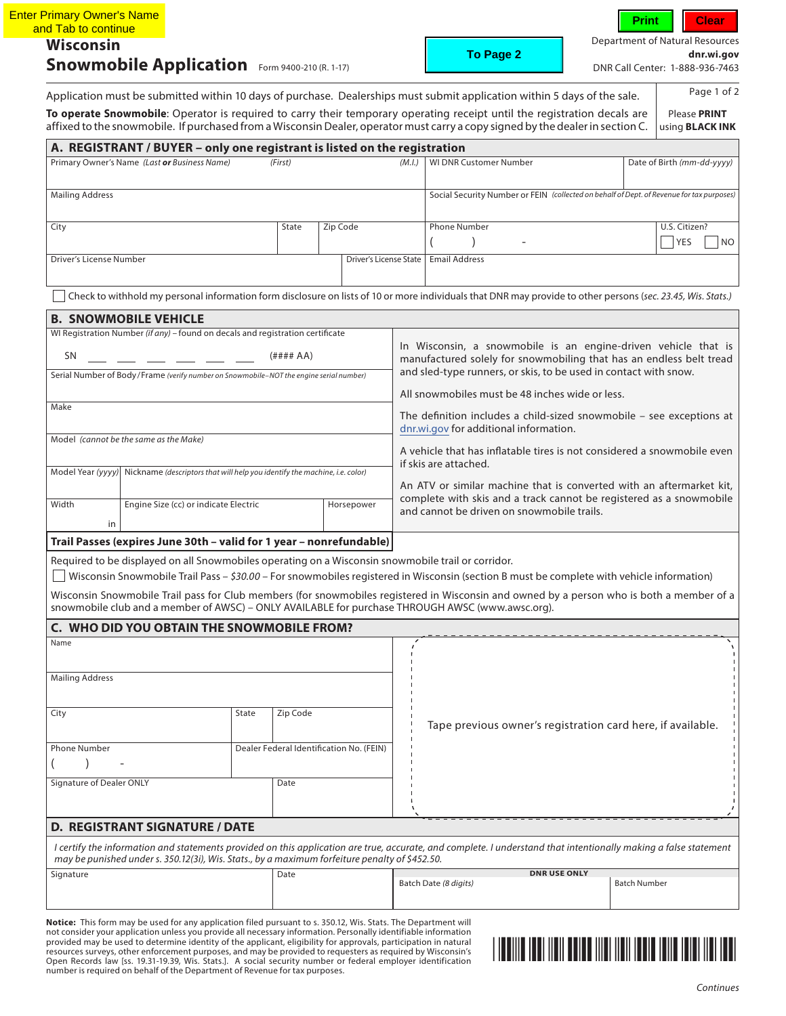| <b>Enter Primary Owner's Name</b><br>and Tab to continue<br><b>Wisconsin</b>           | <b>Snowmobile Application</b> Form 9400-210 (R. 1-17)                                                                                                                                                                                                              |                                                                                                            |              |                                                                  |                                                                                                                                             | To Page 2                                                                                                                                                                                                                                                                                                                                                                                  | <b>Department of Natural Resources</b> | Clear<br>dnr.wi.aov<br>DNR Call Center: 1-888-936-7463 |
|----------------------------------------------------------------------------------------|--------------------------------------------------------------------------------------------------------------------------------------------------------------------------------------------------------------------------------------------------------------------|------------------------------------------------------------------------------------------------------------|--------------|------------------------------------------------------------------|---------------------------------------------------------------------------------------------------------------------------------------------|--------------------------------------------------------------------------------------------------------------------------------------------------------------------------------------------------------------------------------------------------------------------------------------------------------------------------------------------------------------------------------------------|----------------------------------------|--------------------------------------------------------|
|                                                                                        |                                                                                                                                                                                                                                                                    |                                                                                                            |              |                                                                  |                                                                                                                                             | Application must be submitted within 10 days of purchase. Dealerships must submit application within 5 days of the sale.                                                                                                                                                                                                                                                                   |                                        | Page 1 of 2                                            |
|                                                                                        |                                                                                                                                                                                                                                                                    |                                                                                                            |              |                                                                  |                                                                                                                                             | To operate Snowmobile: Operator is required to carry their temporary operating receipt until the registration decals are<br>affixed to the snowmobile. If purchased from a Wisconsin Dealer, operator must carry a copy signed by the dealer in section C.                                                                                                                                 |                                        | Please PRINT<br>using <b>BLACK INK</b>                 |
|                                                                                        | A. REGISTRANT / BUYER - only one registrant is listed on the registration                                                                                                                                                                                          |                                                                                                            |              |                                                                  |                                                                                                                                             |                                                                                                                                                                                                                                                                                                                                                                                            |                                        |                                                        |
|                                                                                        | Primary Owner's Name (Last or Business Name)                                                                                                                                                                                                                       |                                                                                                            | (First)      |                                                                  | (M.I.)                                                                                                                                      | WI DNR Customer Number                                                                                                                                                                                                                                                                                                                                                                     |                                        | Date of Birth (mm-dd-yyyy)                             |
| <b>Mailing Address</b>                                                                 |                                                                                                                                                                                                                                                                    |                                                                                                            |              |                                                                  |                                                                                                                                             | Social Security Number or FEIN (collected on behalf of Dept. of Revenue for tax purposes)                                                                                                                                                                                                                                                                                                  |                                        |                                                        |
| City                                                                                   |                                                                                                                                                                                                                                                                    |                                                                                                            | State        | Zip Code                                                         |                                                                                                                                             | Phone Number                                                                                                                                                                                                                                                                                                                                                                               |                                        | U.S. Citizen?                                          |
|                                                                                        |                                                                                                                                                                                                                                                                    |                                                                                                            |              |                                                                  |                                                                                                                                             |                                                                                                                                                                                                                                                                                                                                                                                            |                                        | <b>YES</b>                                             |
| Driver's License Number                                                                |                                                                                                                                                                                                                                                                    |                                                                                                            |              |                                                                  | <b>Driver's License State</b>                                                                                                               | <b>Email Address</b>                                                                                                                                                                                                                                                                                                                                                                       |                                        |                                                        |
|                                                                                        |                                                                                                                                                                                                                                                                    |                                                                                                            |              |                                                                  |                                                                                                                                             | Check to withhold my personal information form disclosure on lists of 10 or more individuals that DNR may provide to other persons (sec. 23.45, Wis. Stats.)                                                                                                                                                                                                                               |                                        |                                                        |
|                                                                                        | <b>B. SNOWMOBILE VEHICLE</b>                                                                                                                                                                                                                                       |                                                                                                            |              |                                                                  |                                                                                                                                             |                                                                                                                                                                                                                                                                                                                                                                                            |                                        |                                                        |
|                                                                                        | WI Registration Number (if any) - found on decals and registration certificate                                                                                                                                                                                     |                                                                                                            |              |                                                                  |                                                                                                                                             |                                                                                                                                                                                                                                                                                                                                                                                            |                                        |                                                        |
| SN                                                                                     |                                                                                                                                                                                                                                                                    |                                                                                                            | $($ #### AA) |                                                                  |                                                                                                                                             | In Wisconsin, a snowmobile is an engine-driven vehicle that is<br>manufactured solely for snowmobiling that has an endless belt tread                                                                                                                                                                                                                                                      |                                        |                                                        |
| Serial Number of Body/Frame (verify number on Snowmobile-NOT the engine serial number) |                                                                                                                                                                                                                                                                    |                                                                                                            |              | and sled-type runners, or skis, to be used in contact with snow. |                                                                                                                                             |                                                                                                                                                                                                                                                                                                                                                                                            |                                        |                                                        |
| Make                                                                                   |                                                                                                                                                                                                                                                                    |                                                                                                            |              |                                                                  |                                                                                                                                             | All snowmobiles must be 48 inches wide or less.                                                                                                                                                                                                                                                                                                                                            |                                        |                                                        |
|                                                                                        |                                                                                                                                                                                                                                                                    |                                                                                                            |              |                                                                  |                                                                                                                                             | The definition includes a child-sized snowmobile $-$ see exceptions at<br>dnr.wi.gov for additional information.                                                                                                                                                                                                                                                                           |                                        |                                                        |
|                                                                                        | Model (cannot be the same as the Make)                                                                                                                                                                                                                             |                                                                                                            |              |                                                                  |                                                                                                                                             |                                                                                                                                                                                                                                                                                                                                                                                            |                                        |                                                        |
|                                                                                        |                                                                                                                                                                                                                                                                    |                                                                                                            |              |                                                                  |                                                                                                                                             | A vehicle that has inflatable tires is not considered a snowmobile even<br>if skis are attached.                                                                                                                                                                                                                                                                                           |                                        |                                                        |
|                                                                                        |                                                                                                                                                                                                                                                                    | Model Year (yyyy) Nickname (descriptors that will help you identify the machine, i.e. color)<br>Horsepower |              |                                                                  |                                                                                                                                             |                                                                                                                                                                                                                                                                                                                                                                                            |                                        |                                                        |
| Width                                                                                  | Engine Size (cc) or indicate Electric                                                                                                                                                                                                                              |                                                                                                            |              |                                                                  | An ATV or similar machine that is converted with an aftermarket kit.<br>complete with skis and a track cannot be registered as a snowmobile |                                                                                                                                                                                                                                                                                                                                                                                            |                                        |                                                        |
| in                                                                                     |                                                                                                                                                                                                                                                                    |                                                                                                            |              |                                                                  |                                                                                                                                             | and cannot be driven on snowmobile trails.                                                                                                                                                                                                                                                                                                                                                 |                                        |                                                        |
|                                                                                        | Trail Passes (expires June 30th - valid for 1 year - nonrefundable)                                                                                                                                                                                                |                                                                                                            |              |                                                                  |                                                                                                                                             |                                                                                                                                                                                                                                                                                                                                                                                            |                                        |                                                        |
|                                                                                        | Required to be displayed on all Snowmobiles operating on a Wisconsin snowmobile trail or corridor.                                                                                                                                                                 |                                                                                                            |              |                                                                  |                                                                                                                                             | Wisconsin Snowmobile Trail Pass - \$30.00 - For snowmobiles registered in Wisconsin (section B must be complete with vehicle information)<br>Wisconsin Snowmobile Trail pass for Club members (for snowmobiles registered in Wisconsin and owned by a person who is both a member of a<br>snowmobile club and a member of AWSC) - ONLY AVAILABLE for purchase THROUGH AWSC (www.awsc.org). |                                        |                                                        |
|                                                                                        | C. WHO DID YOU OBTAIN THE SNOWMOBILE FROM?                                                                                                                                                                                                                         |                                                                                                            |              |                                                                  |                                                                                                                                             |                                                                                                                                                                                                                                                                                                                                                                                            |                                        |                                                        |
| Name                                                                                   |                                                                                                                                                                                                                                                                    |                                                                                                            |              |                                                                  |                                                                                                                                             |                                                                                                                                                                                                                                                                                                                                                                                            |                                        |                                                        |
| <b>Mailing Address</b>                                                                 |                                                                                                                                                                                                                                                                    |                                                                                                            |              |                                                                  |                                                                                                                                             |                                                                                                                                                                                                                                                                                                                                                                                            |                                        |                                                        |
|                                                                                        |                                                                                                                                                                                                                                                                    |                                                                                                            |              |                                                                  |                                                                                                                                             |                                                                                                                                                                                                                                                                                                                                                                                            |                                        |                                                        |
| City                                                                                   |                                                                                                                                                                                                                                                                    | State                                                                                                      | Zip Code     |                                                                  |                                                                                                                                             | Tape previous owner's registration card here, if available.                                                                                                                                                                                                                                                                                                                                |                                        |                                                        |
| <b>Phone Number</b>                                                                    |                                                                                                                                                                                                                                                                    |                                                                                                            |              |                                                                  |                                                                                                                                             |                                                                                                                                                                                                                                                                                                                                                                                            |                                        |                                                        |
|                                                                                        |                                                                                                                                                                                                                                                                    | Dealer Federal Identification No. (FEIN)                                                                   |              |                                                                  |                                                                                                                                             |                                                                                                                                                                                                                                                                                                                                                                                            |                                        |                                                        |
| Signature of Dealer ONLY                                                               |                                                                                                                                                                                                                                                                    |                                                                                                            | Date         |                                                                  |                                                                                                                                             |                                                                                                                                                                                                                                                                                                                                                                                            |                                        |                                                        |
|                                                                                        |                                                                                                                                                                                                                                                                    |                                                                                                            |              |                                                                  |                                                                                                                                             |                                                                                                                                                                                                                                                                                                                                                                                            |                                        |                                                        |
|                                                                                        | <b>D. REGISTRANT SIGNATURE / DATE</b>                                                                                                                                                                                                                              |                                                                                                            |              |                                                                  |                                                                                                                                             |                                                                                                                                                                                                                                                                                                                                                                                            |                                        |                                                        |
|                                                                                        |                                                                                                                                                                                                                                                                    |                                                                                                            |              |                                                                  |                                                                                                                                             |                                                                                                                                                                                                                                                                                                                                                                                            |                                        |                                                        |
|                                                                                        | I certify the information and statements provided on this application are true, accurate, and complete. I understand that intentionally making a false statement<br>may be punished under s. 350.12(3i), Wis. Stats., by a maximum forfeiture penalty of \$452.50. |                                                                                                            |              |                                                                  |                                                                                                                                             |                                                                                                                                                                                                                                                                                                                                                                                            |                                        |                                                        |

**Notice:** This form may be used for any application filed pursuant to s. 350.12, Wis. Stats. The Department will<br>not consider your application unless you provide all necessary information. Personally identifiable informati